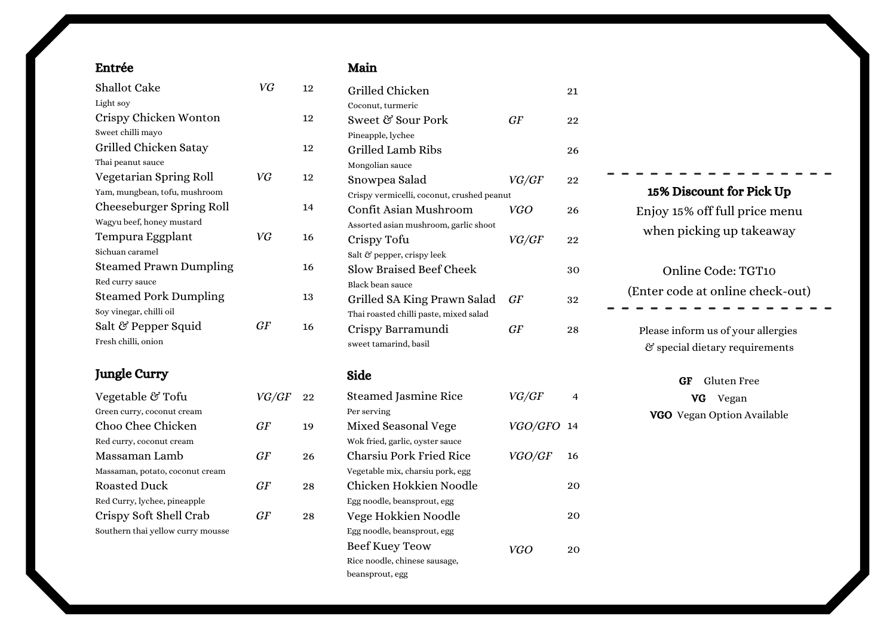#### Entrée

| <b>Shallot Cake</b>           | VG | 12 |
|-------------------------------|----|----|
| Light soy                     |    |    |
| Crispy Chicken Wonton         |    | 12 |
| Sweet chilli mayo             |    |    |
| Grilled Chicken Satay         |    | 12 |
| Thai peanut sauce             |    |    |
| Vegetarian Spring Roll        | VG | 12 |
| Yam, mungbean, tofu, mushroom |    |    |
| Cheeseburger Spring Roll      |    | 14 |
| Wagyu beef, honey mustard     |    |    |
| Tempura Eggplant              | VG | 16 |
| Sichuan caramel               |    |    |
| <b>Steamed Prawn Dumpling</b> |    | 16 |
| Red curry sauce               |    |    |
| <b>Steamed Pork Dumpling</b>  |    | 13 |
| Soy vinegar, chilli oil       |    |    |
| Salt & Pepper Squid           | GF | 16 |
| Fresh chilli, onion           |    |    |
|                               |    |    |

## Jungle Curry

| Vegetable & Tofu                  | <i>VG/GF</i> 22 |    |
|-----------------------------------|-----------------|----|
| Green curry, coconut cream        |                 |    |
| Choo Chee Chicken                 | GF              | 19 |
| Red curry, coconut cream          |                 |    |
| Massaman Lamb                     | GF              | 96 |
| Massaman, potato, coconut cream   |                 |    |
| Roasted Duck                      | GF              | 28 |
| Red Curry, lychee, pineapple      |                 |    |
| Crispy Soft Shell Crab            | GF              | 28 |
| Southern thai yellow curry mousse |                 |    |

### Main

| Grilled Chicken                            |               | 21 |
|--------------------------------------------|---------------|----|
| Coconut, turmeric                          |               |    |
| Sweet & Sour Pork                          | GF            | 22 |
| Pineapple, lychee                          |               |    |
| Grilled Lamb Ribs                          |               | 26 |
| Mongolian sauce                            |               |    |
| Snowpea Salad                              | VG/GF         | 22 |
| Crispy vermicelli, coconut, crushed peanut |               |    |
| Confit Asian Mushroom                      | VGO           | 26 |
| Assorted asian mushroom, garlic shoot      |               |    |
| Crispy Tofu                                | VG/GF         | 22 |
| Salt & pepper, crispy leek                 |               |    |
| <b>Slow Braised Beef Cheek</b>             |               | 30 |
| Black bean sauce                           |               |    |
| Grilled SA King Prawn Salad                | GF            | 32 |
| Thai roasted chilli paste, mixed salad     |               |    |
| Crispy Barramundi                          | GF            | 28 |
| sweet tamarind, basil                      |               |    |
| Side                                       |               |    |
| <b>Steamed Jasmine Rice</b>                | VG/GF         | 4  |
| Per serving                                |               |    |
| Mixed Seasonal Vege                        | VGO/GFO 14    |    |
| Wok fried, garlic, oyster sauce            |               |    |
| Charsiu Pork Fried Rice                    | <i>VGO/GF</i> | 16 |
| Vegetable mix, charsiu pork, egg           |               |    |
| Chicken Hokkien Noodle                     |               | 20 |

VGO

20

20

Egg noodle, beansprout, egg Vege Hokkien Noodle Egg noodle, beansprout, egg Beef Kuey Teow Rice noodle, chinese sausage,

beansprout, egg

# Please inform us of your allergies & special dietary requirements GF Gluten Free VG Vegan VGO Vegan Option Available 15% Discount for Pick Up Enjoy 15% off full price menu when picking up takeaway Online Code: TGT10 (Enter code at online check-out)